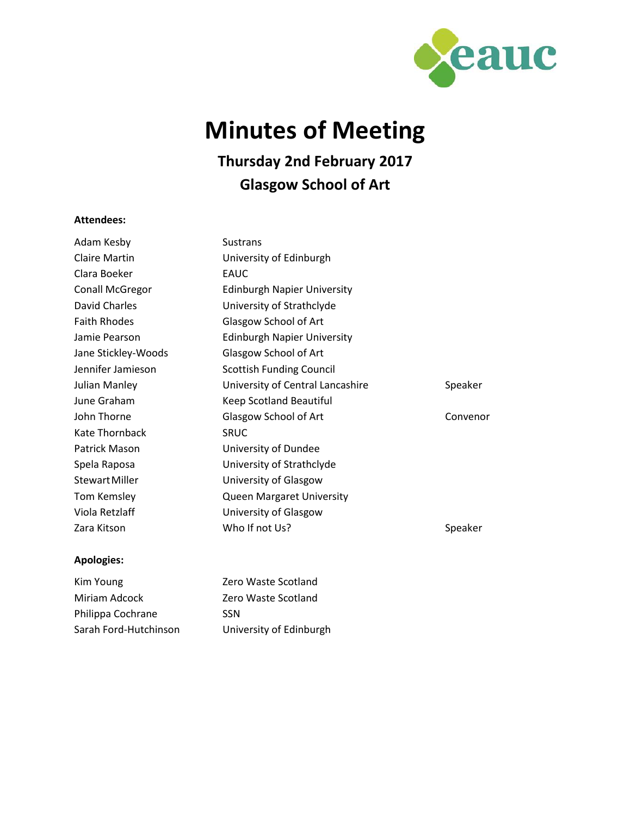

# **Minutes of Meeting**

## **Thursday 2nd February 2017 Glasgow School of Art**

#### **Attendees:**

| Adam Kesby             | <b>Sustrans</b>                    |          |
|------------------------|------------------------------------|----------|
| <b>Claire Martin</b>   | University of Edinburgh            |          |
| Clara Boeker           | EAUC                               |          |
| <b>Conall McGregor</b> | <b>Edinburgh Napier University</b> |          |
| David Charles          | University of Strathclyde          |          |
| <b>Faith Rhodes</b>    | Glasgow School of Art              |          |
| Jamie Pearson          | <b>Edinburgh Napier University</b> |          |
| Jane Stickley-Woods    | Glasgow School of Art              |          |
| Jennifer Jamieson      | <b>Scottish Funding Council</b>    |          |
| Julian Manley          | University of Central Lancashire   | Speaker  |
| June Graham            | Keep Scotland Beautiful            |          |
| John Thorne            | Glasgow School of Art              | Convenor |
| Kate Thornback         | <b>SRUC</b>                        |          |
| Patrick Mason          | University of Dundee               |          |
| Spela Raposa           | University of Strathclyde          |          |
| <b>Stewart Miller</b>  | University of Glasgow              |          |
| Tom Kemsley            | Queen Margaret University          |          |
| Viola Retzlaff         | University of Glasgow              |          |
| Zara Kitson            | Who If not Us?                     | Speaker  |
|                        |                                    |          |

### **Apologies:**

| Kim Young             | Zero Waste Scotland     |
|-----------------------|-------------------------|
| Miriam Adcock         | Zero Waste Scotland     |
| Philippa Cochrane     | <b>SSN</b>              |
| Sarah Ford-Hutchinson | University of Edinburgh |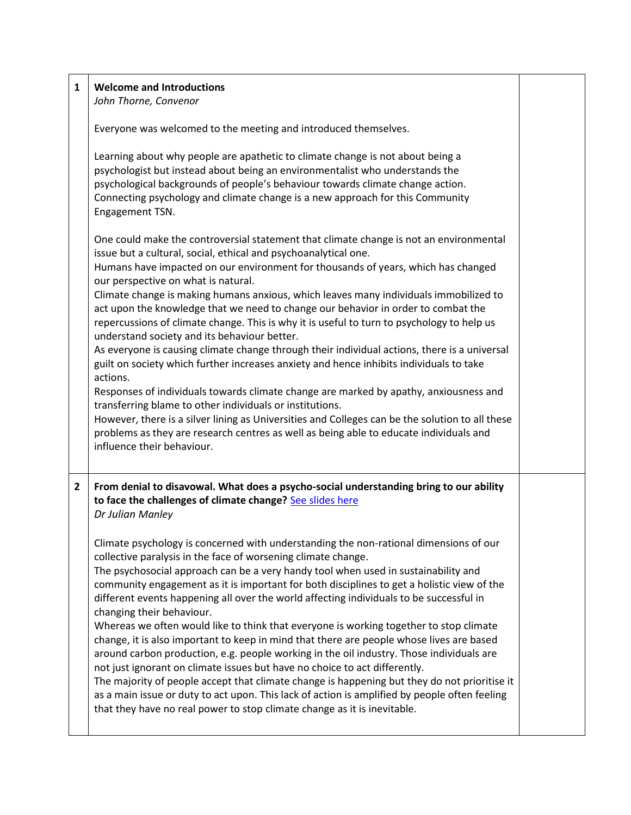| 1 | <b>Welcome and Introductions</b><br>John Thorne, Convenor                                                                                                                                                                                                                                                                                                                                                                                                                                                                                                                                                                                                                                                                                                                                                                                                                                                                                                                                                                                                                                                                                                                                                |  |
|---|----------------------------------------------------------------------------------------------------------------------------------------------------------------------------------------------------------------------------------------------------------------------------------------------------------------------------------------------------------------------------------------------------------------------------------------------------------------------------------------------------------------------------------------------------------------------------------------------------------------------------------------------------------------------------------------------------------------------------------------------------------------------------------------------------------------------------------------------------------------------------------------------------------------------------------------------------------------------------------------------------------------------------------------------------------------------------------------------------------------------------------------------------------------------------------------------------------|--|
|   | Everyone was welcomed to the meeting and introduced themselves.                                                                                                                                                                                                                                                                                                                                                                                                                                                                                                                                                                                                                                                                                                                                                                                                                                                                                                                                                                                                                                                                                                                                          |  |
|   | Learning about why people are apathetic to climate change is not about being a<br>psychologist but instead about being an environmentalist who understands the<br>psychological backgrounds of people's behaviour towards climate change action.<br>Connecting psychology and climate change is a new approach for this Community<br>Engagement TSN.                                                                                                                                                                                                                                                                                                                                                                                                                                                                                                                                                                                                                                                                                                                                                                                                                                                     |  |
|   | One could make the controversial statement that climate change is not an environmental<br>issue but a cultural, social, ethical and psychoanalytical one.<br>Humans have impacted on our environment for thousands of years, which has changed<br>our perspective on what is natural.<br>Climate change is making humans anxious, which leaves many individuals immobilized to<br>act upon the knowledge that we need to change our behavior in order to combat the<br>repercussions of climate change. This is why it is useful to turn to psychology to help us<br>understand society and its behaviour better.<br>As everyone is causing climate change through their individual actions, there is a universal<br>guilt on society which further increases anxiety and hence inhibits individuals to take<br>actions.<br>Responses of individuals towards climate change are marked by apathy, anxiousness and<br>transferring blame to other individuals or institutions.<br>However, there is a silver lining as Universities and Colleges can be the solution to all these<br>problems as they are research centres as well as being able to educate individuals and<br>influence their behaviour. |  |
| 2 | From denial to disavowal. What does a psycho-social understanding bring to our ability<br>to face the challenges of climate change? See slides here<br>Dr Julian Manley                                                                                                                                                                                                                                                                                                                                                                                                                                                                                                                                                                                                                                                                                                                                                                                                                                                                                                                                                                                                                                  |  |
|   | Climate psychology is concerned with understanding the non-rational dimensions of our<br>collective paralysis in the face of worsening climate change.<br>The psychosocial approach can be a very handy tool when used in sustainability and<br>community engagement as it is important for both disciplines to get a holistic view of the<br>different events happening all over the world affecting individuals to be successful in<br>changing their behaviour.<br>Whereas we often would like to think that everyone is working together to stop climate<br>change, it is also important to keep in mind that there are people whose lives are based<br>around carbon production, e.g. people working in the oil industry. Those individuals are<br>not just ignorant on climate issues but have no choice to act differently.<br>The majority of people accept that climate change is happening but they do not prioritise it<br>as a main issue or duty to act upon. This lack of action is amplified by people often feeling<br>that they have no real power to stop climate change as it is inevitable.                                                                                          |  |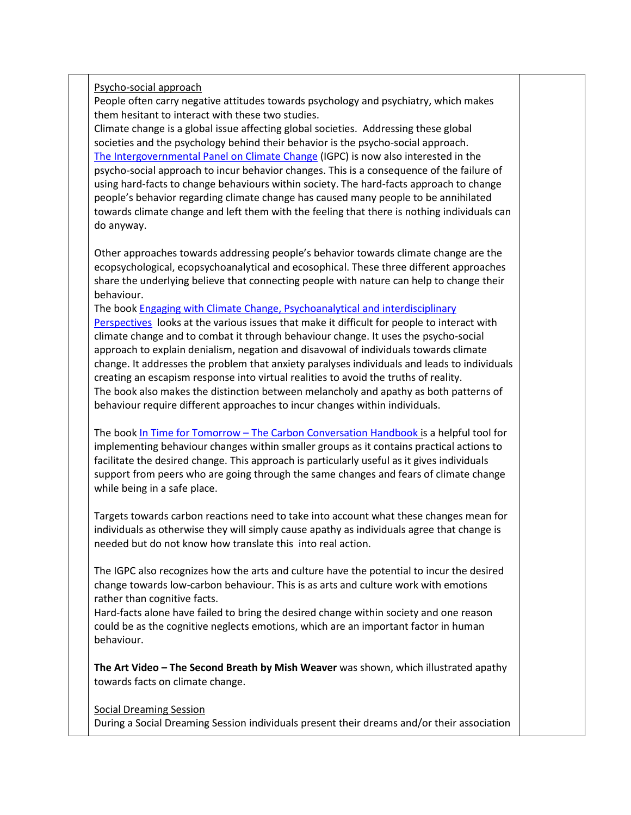Psycho-social approach

People often carry negative attitudes towards psychology and psychiatry, which makes them hesitant to interact with these two studies.

Climate change is a global issue affecting global societies. Addressing these global societies and the psychology behind their behavior is the psycho-social approach. [The Intergovernmental Panel on Climate Change](http://ipcc.ch/) (IGPC) is now also interested in the psycho-social approach to incur behavior changes. This is a consequence of the failure of using hard-facts to change behaviours within society. The hard-facts approach to change people's behavior regarding climate change has caused many people to be annihilated towards climate change and left them with the feeling that there is nothing individuals can do anyway.

Other approaches towards addressing people's behavior towards climate change are the ecopsychological, ecopsychoanalytical and ecosophical. These three different approaches share the underlying believe that connecting people with nature can help to change their behaviour.

The book Engaging [with Climate Change, Psychoanalytical and interdisciplinary](http://www.climatepsychologyalliance.org/explorations/book-reviews/27-engaging-with-climate-change-psychoanalytic-and-interdisciplinary-perspectives)  [Perspectives](http://www.climatepsychologyalliance.org/explorations/book-reviews/27-engaging-with-climate-change-psychoanalytic-and-interdisciplinary-perspectives) looks at the various issues that make it difficult for people to interact with climate change and to combat it through behaviour change. It uses the psycho-social approach to explain denialism, negation and disavowal of individuals towards climate change. It addresses the problem that anxiety paralyses individuals and leads to individuals creating an escapism response into virtual realities to avoid the truths of reality. The book also makes the distinction between melancholy and apathy as both patterns of behaviour require different approaches to incur changes within individuals.

The book In Time for Tomorrow – [The Carbon Conversation Handbook](http://www.carbonconversations.org/carbon-conversations-handbook) is a helpful tool for implementing behaviour changes within smaller groups as it contains practical actions to facilitate the desired change. This approach is particularly useful as it gives individuals support from peers who are going through the same changes and fears of climate change while being in a safe place.

Targets towards carbon reactions need to take into account what these changes mean for individuals as otherwise they will simply cause apathy as individuals agree that change is needed but do not know how translate this into real action.

The IGPC also recognizes how the arts and culture have the potential to incur the desired change towards low-carbon behaviour. This is as arts and culture work with emotions rather than cognitive facts.

Hard-facts alone have failed to bring the desired change within society and one reason could be as the cognitive neglects emotions, which are an important factor in human behaviour.

**The Art Video – The Second Breath by Mish Weaver** was shown, which illustrated apathy towards facts on climate change.

Social Dreaming Session

During a Social Dreaming Session individuals present their dreams and/or their association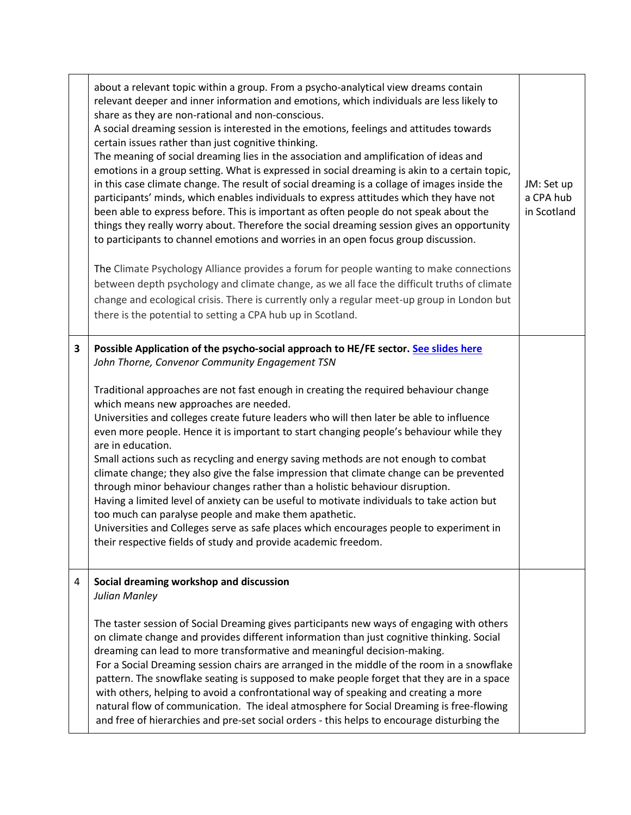|   | about a relevant topic within a group. From a psycho-analytical view dreams contain<br>relevant deeper and inner information and emotions, which individuals are less likely to<br>share as they are non-rational and non-conscious.<br>A social dreaming session is interested in the emotions, feelings and attitudes towards<br>certain issues rather than just cognitive thinking.<br>The meaning of social dreaming lies in the association and amplification of ideas and<br>emotions in a group setting. What is expressed in social dreaming is akin to a certain topic,<br>in this case climate change. The result of social dreaming is a collage of images inside the<br>participants' minds, which enables individuals to express attitudes which they have not<br>been able to express before. This is important as often people do not speak about the<br>things they really worry about. Therefore the social dreaming session gives an opportunity<br>to participants to channel emotions and worries in an open focus group discussion.<br>The Climate Psychology Alliance provides a forum for people wanting to make connections<br>between depth psychology and climate change, as we all face the difficult truths of climate<br>change and ecological crisis. There is currently only a regular meet-up group in London but<br>there is the potential to setting a CPA hub up in Scotland. | JM: Set up<br>a CPA hub<br>in Scotland |
|---|------------------------------------------------------------------------------------------------------------------------------------------------------------------------------------------------------------------------------------------------------------------------------------------------------------------------------------------------------------------------------------------------------------------------------------------------------------------------------------------------------------------------------------------------------------------------------------------------------------------------------------------------------------------------------------------------------------------------------------------------------------------------------------------------------------------------------------------------------------------------------------------------------------------------------------------------------------------------------------------------------------------------------------------------------------------------------------------------------------------------------------------------------------------------------------------------------------------------------------------------------------------------------------------------------------------------------------------------------------------------------------------------------------------|----------------------------------------|
| 3 | Possible Application of the psycho-social approach to HE/FE sector. See slides here<br>John Thorne, Convenor Community Engagement TSN<br>Traditional approaches are not fast enough in creating the required behaviour change<br>which means new approaches are needed.<br>Universities and colleges create future leaders who will then later be able to influence<br>even more people. Hence it is important to start changing people's behaviour while they<br>are in education.<br>Small actions such as recycling and energy saving methods are not enough to combat<br>climate change; they also give the false impression that climate change can be prevented<br>through minor behaviour changes rather than a holistic behaviour disruption.<br>Having a limited level of anxiety can be useful to motivate individuals to take action but<br>too much can paralyse people and make them apathetic.<br>Universities and Colleges serve as safe places which encourages people to experiment in<br>their respective fields of study and provide academic freedom.                                                                                                                                                                                                                                                                                                                                        |                                        |
| 4 | Social dreaming workshop and discussion<br>Julian Manley<br>The taster session of Social Dreaming gives participants new ways of engaging with others<br>on climate change and provides different information than just cognitive thinking. Social<br>dreaming can lead to more transformative and meaningful decision-making.<br>For a Social Dreaming session chairs are arranged in the middle of the room in a snowflake<br>pattern. The snowflake seating is supposed to make people forget that they are in a space<br>with others, helping to avoid a confrontational way of speaking and creating a more<br>natural flow of communication. The ideal atmosphere for Social Dreaming is free-flowing<br>and free of hierarchies and pre-set social orders - this helps to encourage disturbing the                                                                                                                                                                                                                                                                                                                                                                                                                                                                                                                                                                                                        |                                        |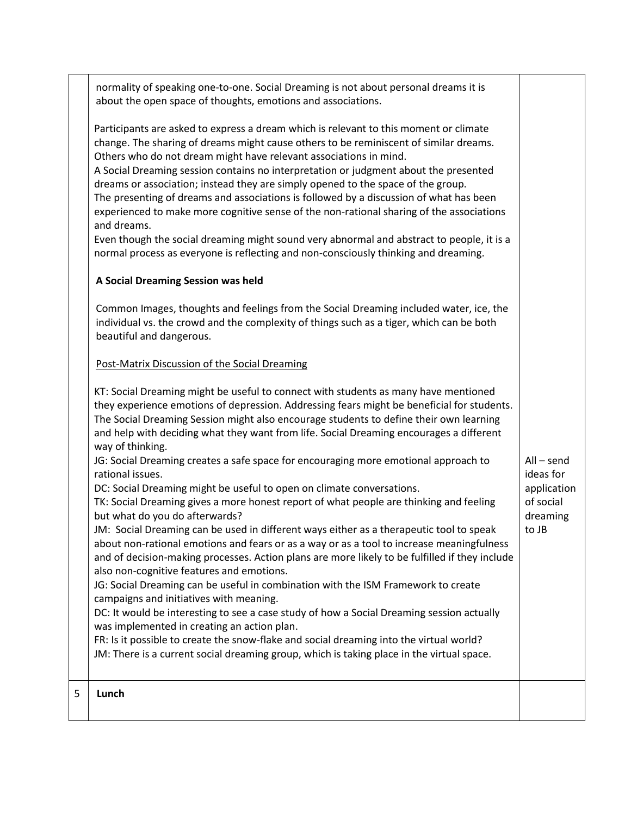|   | normality of speaking one-to-one. Social Dreaming is not about personal dreams it is<br>about the open space of thoughts, emotions and associations.                                                                                                                                                                                                                                                                                                                                                                                                                                                                                                                                                                                                                                                                     |                                               |
|---|--------------------------------------------------------------------------------------------------------------------------------------------------------------------------------------------------------------------------------------------------------------------------------------------------------------------------------------------------------------------------------------------------------------------------------------------------------------------------------------------------------------------------------------------------------------------------------------------------------------------------------------------------------------------------------------------------------------------------------------------------------------------------------------------------------------------------|-----------------------------------------------|
|   | Participants are asked to express a dream which is relevant to this moment or climate<br>change. The sharing of dreams might cause others to be reminiscent of similar dreams.<br>Others who do not dream might have relevant associations in mind.<br>A Social Dreaming session contains no interpretation or judgment about the presented<br>dreams or association; instead they are simply opened to the space of the group.<br>The presenting of dreams and associations is followed by a discussion of what has been<br>experienced to make more cognitive sense of the non-rational sharing of the associations<br>and dreams.<br>Even though the social dreaming might sound very abnormal and abstract to people, it is a<br>normal process as everyone is reflecting and non-consciously thinking and dreaming. |                                               |
|   | A Social Dreaming Session was held                                                                                                                                                                                                                                                                                                                                                                                                                                                                                                                                                                                                                                                                                                                                                                                       |                                               |
|   | Common Images, thoughts and feelings from the Social Dreaming included water, ice, the<br>individual vs. the crowd and the complexity of things such as a tiger, which can be both<br>beautiful and dangerous.                                                                                                                                                                                                                                                                                                                                                                                                                                                                                                                                                                                                           |                                               |
|   | Post-Matrix Discussion of the Social Dreaming                                                                                                                                                                                                                                                                                                                                                                                                                                                                                                                                                                                                                                                                                                                                                                            |                                               |
|   | KT: Social Dreaming might be useful to connect with students as many have mentioned<br>they experience emotions of depression. Addressing fears might be beneficial for students.<br>The Social Dreaming Session might also encourage students to define their own learning<br>and help with deciding what they want from life. Social Dreaming encourages a different<br>way of thinking.                                                                                                                                                                                                                                                                                                                                                                                                                               |                                               |
|   | JG: Social Dreaming creates a safe space for encouraging more emotional approach to<br>rational issues.                                                                                                                                                                                                                                                                                                                                                                                                                                                                                                                                                                                                                                                                                                                  | $All$ – send<br>ideas for                     |
|   | DC: Social Dreaming might be useful to open on climate conversations.<br>TK: Social Dreaming gives a more honest report of what people are thinking and feeling<br>but what do you do afterwards?<br>JM: Social Dreaming can be used in different ways either as a therapeutic tool to speak<br>about non-rational emotions and fears or as a way or as a tool to increase meaningfulness<br>and of decision-making processes. Action plans are more likely to be fulfilled if they include<br>also non-cognitive features and emotions.                                                                                                                                                                                                                                                                                 | application<br>of social<br>dreaming<br>to JB |
|   | JG: Social Dreaming can be useful in combination with the ISM Framework to create<br>campaigns and initiatives with meaning.<br>DC: It would be interesting to see a case study of how a Social Dreaming session actually                                                                                                                                                                                                                                                                                                                                                                                                                                                                                                                                                                                                |                                               |
|   | was implemented in creating an action plan.<br>FR: Is it possible to create the snow-flake and social dreaming into the virtual world?<br>JM: There is a current social dreaming group, which is taking place in the virtual space.                                                                                                                                                                                                                                                                                                                                                                                                                                                                                                                                                                                      |                                               |
| 5 | Lunch                                                                                                                                                                                                                                                                                                                                                                                                                                                                                                                                                                                                                                                                                                                                                                                                                    |                                               |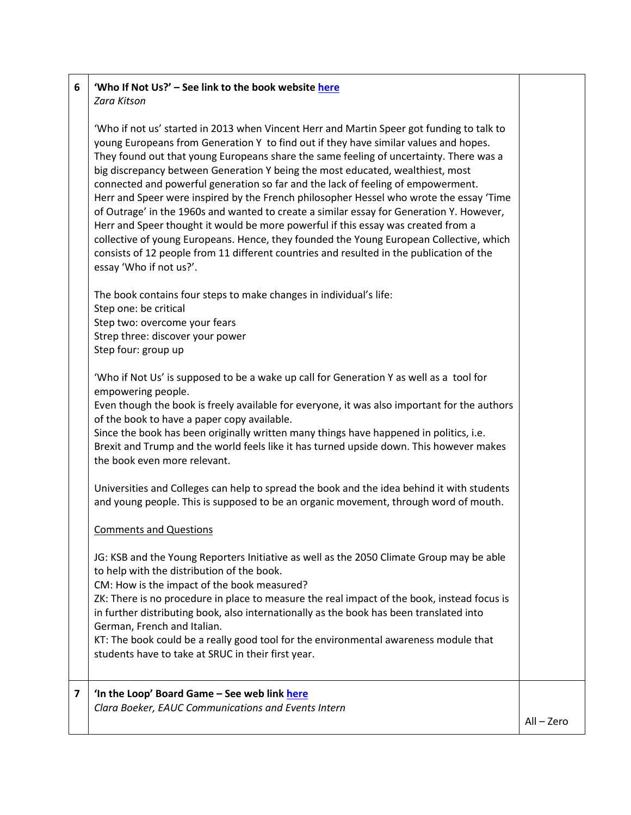#### **6 'Who If Not Us?' – See link to the book websit[e here](http://www.whoifnotus.eu/)** *Zara Kitson*

'Who if not us' started in 2013 when Vincent Herr and Martin Speer got funding to talk to young Europeans from Generation Y to find out if they have similar values and hopes. They found out that young Europeans share the same feeling of uncertainty. There was a big discrepancy between Generation Y being the most educated, wealthiest, most connected and powerful generation so far and the lack of feeling of empowerment. Herr and Speer were inspired by the French philosopher Hessel who wrote the essay 'Time of Outrage' in the 1960s and wanted to create a similar essay for Generation Y. However, Herr and Speer thought it would be more powerful if this essay was created from a collective of young Europeans. Hence, they founded the Young European Collective, which consists of 12 people from 11 different countries and resulted in the publication of the essay 'Who if not us?'.

The book contains four steps to make changes in individual's life: Step one: be critical Step two: overcome your fears Strep three: discover your power Step four: group up

'Who if Not Us' is supposed to be a wake up call for Generation Y as well as a tool for empowering people.

Even though the book is freely available for everyone, it was also important for the authors of the book to have a paper copy available.

Since the book has been originally written many things have happened in politics, i.e. Brexit and Trump and the world feels like it has turned upside down. This however makes the book even more relevant.

Universities and Colleges can help to spread the book and the idea behind it with students and young people. This is supposed to be an organic movement, through word of mouth.

#### Comments and Questions

JG: KSB and the Young Reporters Initiative as well as the 2050 Climate Group may be able to help with the distribution of the book.

CM: How is the impact of the book measured?

ZK: There is no procedure in place to measure the real impact of the book, instead focus is in further distributing book, also internationally as the book has been translated into German, French and Italian.

KT: The book could be a really good tool for the environmental awareness module that students have to take at SRUC in their first year.

### **7 'In the Loop' Board Game – See web link [here](http://www.intheloopgames.com/)**

*Clara Boeker, EAUC Communications and Events Intern*